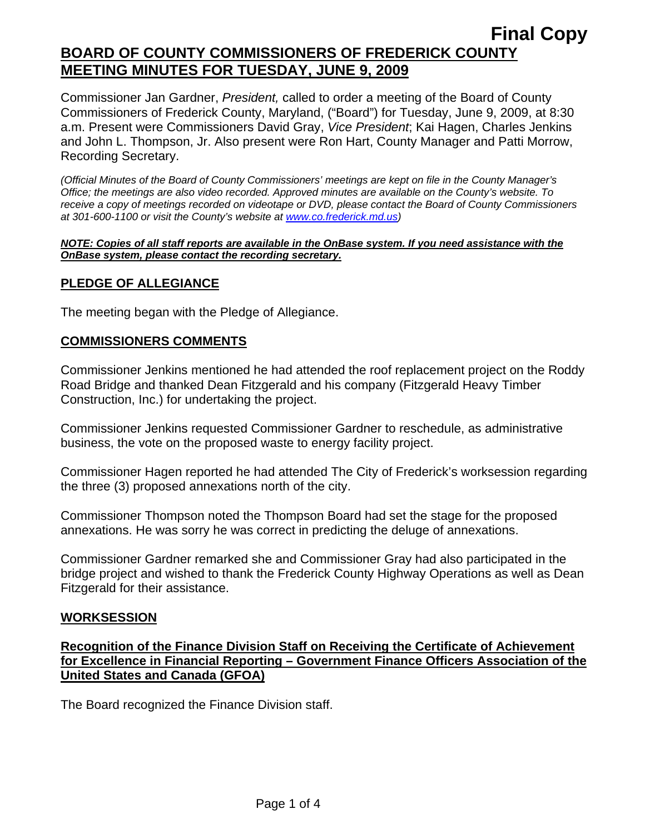Commissioner Jan Gardner, *President,* called to order a meeting of the Board of County Commissioners of Frederick County, Maryland, ("Board") for Tuesday, June 9, 2009, at 8:30 a.m. Present were Commissioners David Gray, *Vice President*; Kai Hagen, Charles Jenkins and John L. Thompson, Jr. Also present were Ron Hart, County Manager and Patti Morrow, Recording Secretary.

*(Official Minutes of the Board of County Commissioners' meetings are kept on file in the County Manager's Office; the meetings are also video recorded. Approved minutes are available on the County's website. To receive a copy of meetings recorded on videotape or DVD, please contact the Board of County Commissioners at 301-600-1100 or visit the County's website at [www.co.frederick.md.us\)](http://www.co.frederick.md.us/)* 

#### *NOTE: Copies of all staff reports are available in the OnBase system. If you need assistance with the OnBase system, please contact the recording secretary.*

## **PLEDGE OF ALLEGIANCE**

The meeting began with the Pledge of Allegiance.

#### **COMMISSIONERS COMMENTS**

Commissioner Jenkins mentioned he had attended the roof replacement project on the Roddy Road Bridge and thanked Dean Fitzgerald and his company (Fitzgerald Heavy Timber Construction, Inc.) for undertaking the project.

Commissioner Jenkins requested Commissioner Gardner to reschedule, as administrative business, the vote on the proposed waste to energy facility project.

Commissioner Hagen reported he had attended The City of Frederick's worksession regarding the three (3) proposed annexations north of the city.

Commissioner Thompson noted the Thompson Board had set the stage for the proposed annexations. He was sorry he was correct in predicting the deluge of annexations.

Commissioner Gardner remarked she and Commissioner Gray had also participated in the bridge project and wished to thank the Frederick County Highway Operations as well as Dean Fitzgerald for their assistance.

#### **WORKSESSION**

**Recognition of the Finance Division Staff on Receiving the Certificate of Achievement for Excellence in Financial Reporting – Government Finance Officers Association of the United States and Canada (GFOA)**

The Board recognized the Finance Division staff.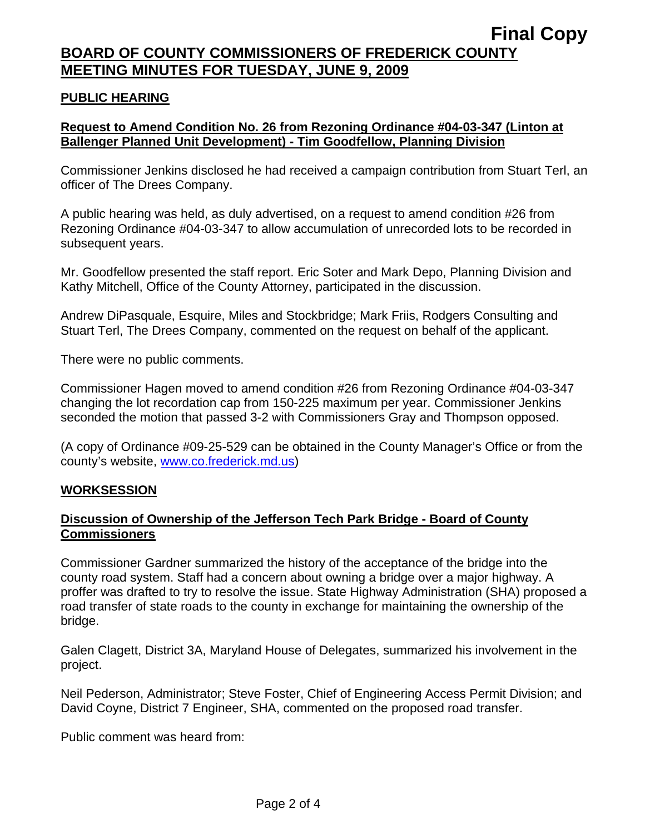#### **PUBLIC HEARING**

## **Request to Amend Condition No. 26 from Rezoning Ordinance #04-03-347 (Linton at Ballenger Planned Unit Development) - Tim Goodfellow, Planning Division**

Commissioner Jenkins disclosed he had received a campaign contribution from Stuart Terl, an officer of The Drees Company.

A public hearing was held, as duly advertised, on a request to amend condition #26 from Rezoning Ordinance #04-03-347 to allow accumulation of unrecorded lots to be recorded in subsequent years.

Mr. Goodfellow presented the staff report. Eric Soter and Mark Depo, Planning Division and Kathy Mitchell, Office of the County Attorney, participated in the discussion.

Andrew DiPasquale, Esquire, Miles and Stockbridge; Mark Friis, Rodgers Consulting and Stuart Terl, The Drees Company, commented on the request on behalf of the applicant.

There were no public comments.

Commissioner Hagen moved to amend condition #26 from Rezoning Ordinance #04-03-347 changing the lot recordation cap from 150-225 maximum per year. Commissioner Jenkins seconded the motion that passed 3-2 with Commissioners Gray and Thompson opposed.

(A copy of Ordinance #09-25-529 can be obtained in the County Manager's Office or from the county's website, [www.co.frederick.md.us\)](www.co.frederick.md.us)

#### **WORKSESSION**

#### **Discussion of Ownership of the Jefferson Tech Park Bridge - Board of County Commissioners**

Commissioner Gardner summarized the history of the acceptance of the bridge into the county road system. Staff had a concern about owning a bridge over a major highway. A proffer was drafted to try to resolve the issue. State Highway Administration (SHA) proposed a road transfer of state roads to the county in exchange for maintaining the ownership of the bridge.

Galen Clagett, District 3A, Maryland House of Delegates, summarized his involvement in the project.

Neil Pederson, Administrator; Steve Foster, Chief of Engineering Access Permit Division; and David Coyne, District 7 Engineer, SHA, commented on the proposed road transfer.

Public comment was heard from: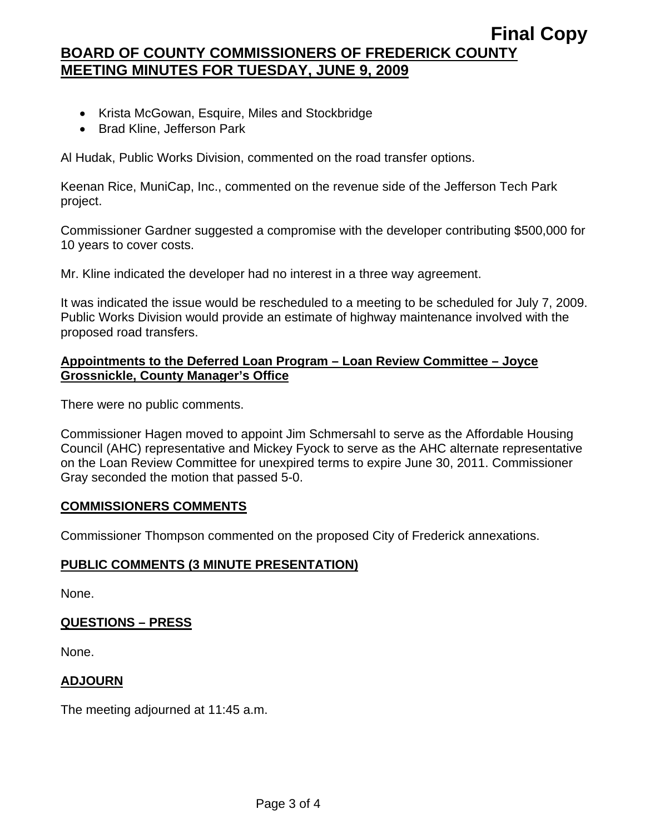- Krista McGowan, Esquire, Miles and Stockbridge
- Brad Kline, Jefferson Park

Al Hudak, Public Works Division, commented on the road transfer options.

Keenan Rice, MuniCap, Inc., commented on the revenue side of the Jefferson Tech Park project.

Commissioner Gardner suggested a compromise with the developer contributing \$500,000 for 10 years to cover costs.

Mr. Kline indicated the developer had no interest in a three way agreement.

It was indicated the issue would be rescheduled to a meeting to be scheduled for July 7, 2009. Public Works Division would provide an estimate of highway maintenance involved with the proposed road transfers.

## **Appointments to the Deferred Loan Program – Loan Review Committee – Joyce Grossnickle, County Manager's Office**

There were no public comments.

Commissioner Hagen moved to appoint Jim Schmersahl to serve as the Affordable Housing Council (AHC) representative and Mickey Fyock to serve as the AHC alternate representative on the Loan Review Committee for unexpired terms to expire June 30, 2011. Commissioner Gray seconded the motion that passed 5-0.

#### **COMMISSIONERS COMMENTS**

Commissioner Thompson commented on the proposed City of Frederick annexations.

#### **PUBLIC COMMENTS (3 MINUTE PRESENTATION)**

None.

#### **QUESTIONS – PRESS**

None.

#### **ADJOURN**

The meeting adjourned at 11:45 a.m.